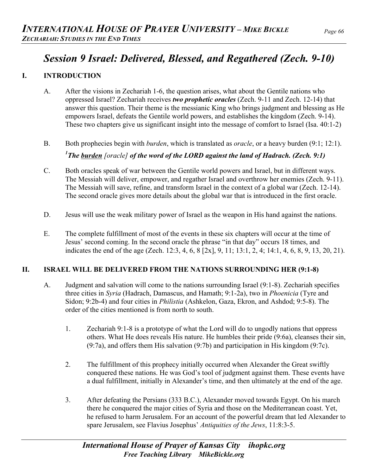# *Session 9 Israel: Delivered, Blessed, and Regathered (Zech. 9-10)*

### **I. INTRODUCTION**

- A. After the visions in Zechariah 1-6, the question arises, what about the Gentile nations who oppressed Israel? Zechariah receives *two prophetic oracles* (Zech. 9-11 and Zech. 12-14) that answer this question. Their theme is the messianic King who brings judgment and blessing as He empowers Israel, defeats the Gentile world powers, and establishes the kingdom (Zech. 9-14). These two chapters give us significant insight into the message of comfort to Israel (Isa. 40:1-2)
- B. Both prophecies begin with *burden*, which is translated as *oracle*, or a heavy burden (9:1; 12:1). <sup>1</sup> The <u>burden</u> [oracle] of the word of the LORD against the land of Hadrach. (Zech. 9:1)
- C. Both oracles speak of war between the Gentile world powers and Israel, but in different ways. The Messiah will deliver, empower, and regather Israel and overthrow her enemies (Zech. 9-11). The Messiah will save, refine, and transform Israel in the context of a global war (Zech. 12-14). The second oracle gives more details about the global war that is introduced in the first oracle.
- D. Jesus will use the weak military power of Israel as the weapon in His hand against the nations.
- E. The complete fulfillment of most of the events in these six chapters will occur at the time of Jesus' second coming. In the second oracle the phrase "in that day" occurs 18 times, and indicates the end of the age (Zech. 12:3, 4, 6, 8 [2x], 9, 11; 13:1, 2, 4; 14:1, 4, 6, 8, 9, 13, 20, 21).

#### **II. ISRAEL WILL BE DELIVERED FROM THE NATIONS SURROUNDING HER (9:1-8)**

- A. Judgment and salvation will come to the nations surrounding Israel (9:1-8). Zechariah specifies three cities in *Syria* (Hadrach, Damascus, and Hamath; 9:1-2a), two in *Phoenicia* (Tyre and Sidon; 9:2b-4) and four cities in *Philistia* (Ashkelon, Gaza, Ekron, and Ashdod; 9:5-8). The order of the cities mentioned is from north to south.
	- 1. Zechariah 9:1-8 is a prototype of what the Lord will do to ungodly nations that oppress others. What He does reveals His nature. He humbles their pride (9:6a), cleanses their sin, (9:7a), and offers them His salvation (9:7b) and participation in His kingdom (9:7c).
	- 2. The fulfillment of this prophecy initially occurred when Alexander the Great swiftly conquered these nations. He was God's tool of judgment against them. These events have a dual fulfillment, initially in Alexander's time, and then ultimately at the end of the age.
	- 3. After defeating the Persians (333 B.C.), Alexander moved towards Egypt. On his march there he conquered the major cities of Syria and those on the Mediterranean coast. Yet, he refused to harm Jerusalem. For an account of the powerful dream that led Alexander to spare Jerusalem, see Flavius Josephus' *Antiquities of the Jews*, 11:8:3-5.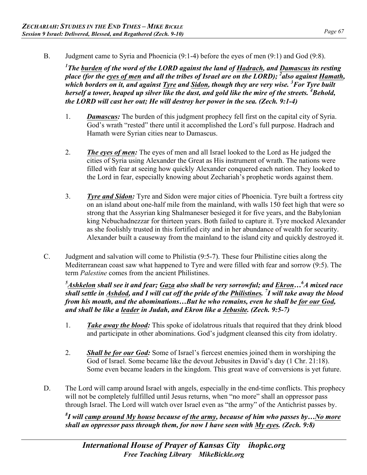B. Judgment came to Syria and Phoenicia (9:1-4) before the eyes of men (9:1) and God (9:8).

<sup>1</sup> The <u>burden</u> of the word of the LORD against the land of Hadrach, and <u>Damascus</u> its resting place (for the <u>eyes of men</u> and all the tribes of Israel are on the LORD); <sup>2</sup> also against Hamath, which borders on it, and against <u>Tyre</u> and <u>Sidon</u>, though they are very wise. <sup>3</sup> For Tyre built *herself a tower, heaped up silver like the dust, and gold like the mire of the streets. 4 Behold, the LORD will cast her out; He will destroy her power in the sea. (Zech. 9:1-4)* 

- 1. *Damascus:* The burden of this judgment prophecy fell first on the capital city of Syria. God's wrath "rested" there until it accomplished the Lord's full purpose. Hadrach and Hamath were Syrian cities near to Damascus.
- 2. *The eyes of men:* The eyes of men and all Israel looked to the Lord as He judged the cities of Syria using Alexander the Great as His instrument of wrath. The nations were filled with fear at seeing how quickly Alexander conquered each nation. They looked to the Lord in fear, especially knowing about Zechariah's prophetic words against them.
- 3. *Tyre and Sidon:* Tyre and Sidon were major cities of Phoenicia. Tyre built a fortress city on an island about one-half mile from the mainland, with walls 150 feet high that were so strong that the Assyrian king Shalmaneser besieged it for five years, and the Babylonian king Nebuchadnezzar for thirteen years. Both failed to capture it. Tyre mocked Alexander as she foolishly trusted in this fortified city and in her abundance of wealth for security. Alexander built a causeway from the mainland to the island city and quickly destroyed it.
- C. Judgment and salvation will come to Philistia (9:5-7). These four Philistine cities along the Mediterranean coast saw what happened to Tyre and were filled with fear and sorrow (9:5). The term *Palestine* comes from the ancient Philistines.

*5 Ashkelon shall see it and fear; Gaza also shall be very sorrowful; and Ekron…<sup>6</sup> A mixed race shall settle in Ashdod, and I will cut off the pride of the Philistines. <sup>7</sup> I will take away the blood from his mouth, and the abominations…But he who remains, even he shall be for our God, and shall be like a leader in Judah, and Ekron like a Jebusite. (Zech. 9:5-7)* 

- 1. *Take away the blood:* This spoke of idolatrous rituals that required that they drink blood and participate in other abominations. God's judgment cleansed this city from idolatry.
- 2. *Shall be for our God:* Some of Israel's fiercest enemies joined them in worshiping the God of Israel. Some became like the devout Jebusites in David's day (1 Chr. 21:18). Some even became leaders in the kingdom. This great wave of conversions is yet future.
- D. The Lord will camp around Israel with angels, especially in the end-time conflicts. This prophecy will not be completely fulfilled until Jesus returns, when "no more" shall an oppressor pass through Israel. The Lord will watch over Israel even as "the army" of the Antichrist passes by.

*8 I will camp around My house because of the army, because of him who passes by…No more shall an oppressor pass through them, for now I have seen with My eyes. (Zech. 9:8)*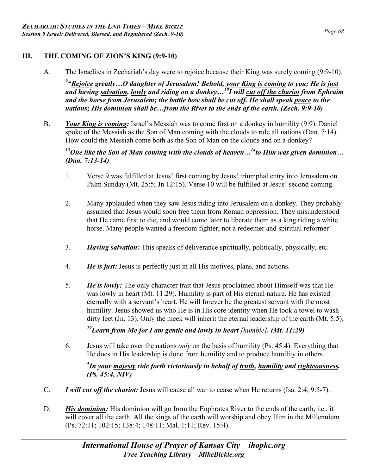### **III. THE COMING OF ZION'S KING (9:9-10)**

A. The Israelites in Zechariah's day were to rejoice because their King was surely coming (9:9-10).

*9 "Rejoice greatly…O daughter of Jerusalem! Behold, your King is coming to you; He is just and having salvation, lowly and riding on a donkey…10I will cut off the chariot from Ephraim*  and the horse from Jerusalem; the battle bow shall be cut off. He shall speak peace to the *nations; His dominion shall be…from the River to the ends of the earth. (Zech. 9:9-10)* 

B. *Your King is coming:* Israel's Messiah was to come first on a donkey in humility (9:9). Daniel spoke of the Messiah as the Son of Man coming with the clouds to rule all nations (Dan. 7:14). How could the Messiah come both as the Son of Man on the clouds and on a donkey?

*13One like the Son of Man coming with the clouds of heaven…14to Him was given dominion… (Dan. 7:13-14)* 

- 1. Verse 9 was fulfilled at Jesus' first coming by Jesus' triumphal entry into Jerusalem on Palm Sunday (Mt. 25:5; Jn 12:15). Verse 10 will be fulfilled at Jesus' second coming.
- 2. Many applauded when they saw Jesus riding into Jerusalem on a donkey. They probably assumed that Jesus would soon free them from Roman oppression. They misunderstood that He came first to die, and would come later to liberate them as a king riding a white horse. Many people wanted a freedom fighter, not a redeemer and spiritual reformer!
- 3. *Having salvation:* This speaks of deliverance spiritually, politically, physically, etc.
- 4. *He is just:* Jesus is perfectly just in all His motives, plans, and actions.
- 5. *He is lowly:* The only character trait that Jesus proclaimed about Himself was that He was lowly in heart (Mt. 11:29). Humility is part of His eternal nature. He has existed eternally with a servant's heart. He will forever be the greatest servant with the most humility. Jesus showed us who He is in His core identity when He took a towel to wash dirty feet (Jn. 13). Only the meek will inherit the eternal leadership of the earth (Mt. 5:5).

## *29Learn from Me for I am gentle and lowly in heart [humble]. (Mt. 11:29)*

6. Jesus will take over the nations *only* on the basis of humility (Ps. 45:4). Everything that He does in His leadership is done from humility and to produce humility in others.

#### *4 In your majesty ride forth victoriously in behalf of truth, humility and righteousness. (Ps. 45:4, NIV)*

- C. *I will cut off the chariot:* Jesus will cause all war to cease when He returns (Isa. 2:4; 9:5-7).
- D. *His dominion:* His dominion will go from the Euphrates River to the ends of the earth, i.e., it will cover all the earth. All the kings of the earth will worship and obey Him in the Millennium (Ps. 72:11; 102:15; 138:4; 148:11; Mal. 1:11; Rev. 15:4).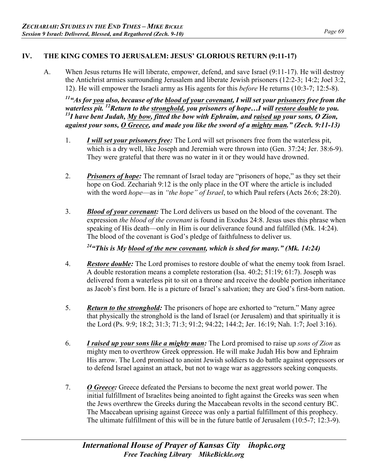#### **IV. THE KING COMES TO JERUSALEM: JESUS' GLORIOUS RETURN (9:11-17)**

A. When Jesus returns He will liberate, empower, defend, and save Israel (9:11-17). He will destroy the Antichrist armies surrounding Jerusalem and liberate Jewish prisoners (12:2-3; 14:2; Joel 3:2, 12). He will empower the Israeli army as His agents for this *before* He returns (10:3-7; 12:5-8).

 $11a$ <sup>41</sup> As for you also, because of the blood of your covenant, I will set your prisoners free from the *waterless pit. 12Return to the stronghold, you prisoners of hope…I will restore double to you. 13I have bent Judah, My bow, fitted the bow with Ephraim, and raised up your sons, O Zion, against your sons, O Greece, and made you like the sword of a mighty man." (Zech. 9:11-13)* 

- 1. *I will set your prisoners free:* The Lord will set prisoners free from the waterless pit, which is a dry well, like Joseph and Jeremiah were thrown into (Gen. 37:24; Jer. 38:6-9). They were grateful that there was no water in it or they would have drowned.
- 2. *Prisoners of hope:* The remnant of Israel today are "prisoners of hope," as they set their hope on God. Zechariah 9:12 is the only place in the OT where the article is included with the word *hope*—as in *"the hope" of Israel*, to which Paul refers (Acts 26:6; 28:20).
- 3. *Blood of your covenant:* The Lord delivers us based on the blood of the covenant. The expression *the blood of the covenant* is found in Exodus 24:8. Jesus uses this phrase when speaking of His death—only in Him is our deliverance found and fulfilled (Mk. 14:24). The blood of the covenant is God's pledge of faithfulness to deliver us.

*24"This is My blood of the new covenant, which is shed for many." (Mk. 14:24)* 

- 4. *Restore double:* The Lord promises to restore double of what the enemy took from Israel. A double restoration means a complete restoration (Isa. 40:2; 51:19; 61:7). Joseph was delivered from a waterless pit to sit on a throne and receive the double portion inheritance as Jacob's first born. He is a picture of Israel's salvation; they are God's first-born nation.
- 5. *Return to the stronghold:* The prisoners of hope are exhorted to "return." Many agree that physically the stronghold is the land of Israel (or Jerusalem) and that spiritually it is the Lord (Ps. 9:9; 18:2; 31:3; 71:3; 91:2; 94:22; 144:2; Jer. 16:19; Nah. 1:7; Joel 3:16).
- 6. *I raised up your sons like a mighty man:* The Lord promised to raise up *sons of Zion* as mighty men to overthrow Greek oppression. He will make Judah His bow and Ephraim His arrow. The Lord promised to anoint Jewish soldiers to do battle against oppressors or to defend Israel against an attack, but not to wage war as aggressors seeking conquests.
- 7. *O Greece:* Greece defeated the Persians to become the next great world power. The initial fulfillment of Israelites being anointed to fight against the Greeks was seen when the Jews overthrew the Greeks during the Maccabean revolts in the second century BC. The Maccabean uprising against Greece was only a partial fulfillment of this prophecy. The ultimate fulfillment of this will be in the future battle of Jerusalem (10:5-7; 12:3-9).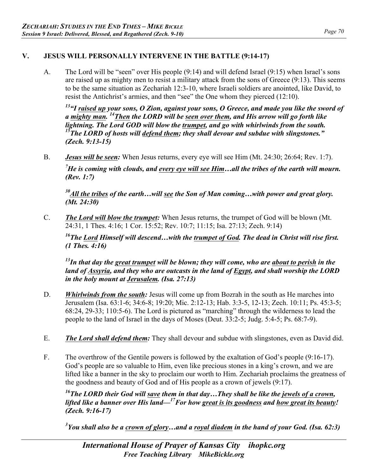#### **V. JESUS WILL PERSONALLY INTERVENE IN THE BATTLE (9:14-17)**

A. The Lord will be "seen" over His people (9:14) and will defend Israel (9:15) when Israel's sons are raised up as mighty men to resist a military attack from the sons of Greece (9:13). This seems to be the same situation as Zechariah 12:3-10, where Israeli soldiers are anointed, like David, to resist the Antichrist's armies, and then "see" the One whom they pierced (12:10).

*13"I raised up your sons, O Zion, against your sons, O Greece, and made you like the sword of a mighty man. 14Then the LORD will be seen over them, and His arrow will go forth like lightning. The Lord GOD will blow the trumpet, and go with whirlwinds from the south. 15The LORD of hosts will defend them; they shall devour and subdue with slingstones." (Zech. 9:13-15)* 

B. *Jesus will be seen:* When Jesus returns, every eye will see Him (Mt. 24:30; 26:64; Rev. 1:7).

*7 He is coming with clouds, and every eye will see Him…all the tribes of the earth will mourn. (Rev. 1:7)* 

*30All the tribes of the earth…will see the Son of Man coming…with power and great glory. (Mt. 24:30)* 

C. *The Lord will blow the trumpet:* When Jesus returns, the trumpet of God will be blown (Mt. 24:31, 1 Thes. 4:16; 1 Cor. 15:52; Rev. 10:7; 11:15; Isa. 27:13; Zech. 9:14)

*16The Lord Himself will descend…with the trumpet of God. The dead in Christ will rise first. (1 Thes. 4:16)* 

*13In that day the great trumpet will be blown; they will come, who are about to perish in the land of Assyria, and they who are outcasts in the land of Egypt, and shall worship the LORD in the holy mount at Jerusalem. (Isa. 27:13)* 

- D. *Whirlwinds from the south:* Jesus will come up from Bozrah in the south as He marches into Jerusalem (Isa. 63:1-6; 34:6-8; 19:20; Mic. 2:12-13; Hab. 3:3-5, 12-13; Zech. 10:11; Ps. 45:3-5; 68:24, 29-33; 110:5-6). The Lord is pictured as "marching" through the wilderness to lead the people to the land of Israel in the days of Moses (Deut. 33:2-5; Judg. 5:4-5; Ps. 68:7-9).
- E. *The Lord shall defend them:* They shall devour and subdue with slingstones, even as David did.
- F. The overthrow of the Gentile powers is followed by the exaltation of God's people (9:16-17). God's people are so valuable to Him, even like precious stones in a king's crown, and we are lifted like a banner in the sky to proclaim our worth to Him. Zechariah proclaims the greatness of the goodness and beauty of God and of His people as a crown of jewels (9:17).

*16The LORD their God will save them in that day…They shall be like the jewels of a crown, lifted like a banner over His land—17For how great is its goodness and how great its beauty! (Zech. 9:16-17)* 

*3 You shall also be a crown of glory…and a royal diadem in the hand of your God. (Isa. 62:3)*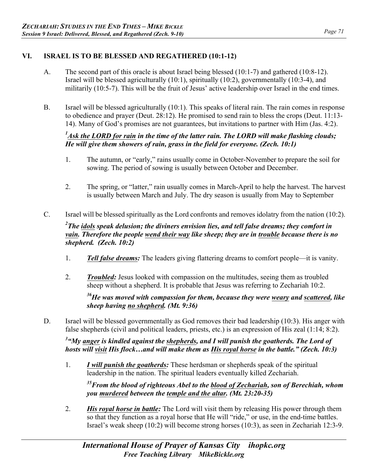#### **VI. ISRAEL IS TO BE BLESSED AND REGATHERED (10:1-12)**

- A. The second part of this oracle is about Israel being blessed (10:1-7) and gathered (10:8-12). Israel will be blessed agriculturally (10:1), spiritually (10:2), governmentally (10:3-4), and militarily (10:5-7). This will be the fruit of Jesus' active leadership over Israel in the end times.
- B. Israel will be blessed agriculturally (10:1). This speaks of literal rain. The rain comes in response to obedience and prayer (Deut. 28:12). He promised to send rain to bless the crops (Deut. 11:13- 14). Many of God's promises are not guarantees, but invitations to partner with Him (Jas. 4:2).

#### <sup>1</sup> Ask the LORD for rain in the time of the latter rain. The LORD will make flashing clouds; *He will give them showers of rain, grass in the field for everyone. (Zech. 10:1)*

- 1. The autumn, or "early," rains usually come in October-November to prepare the soil for sowing. The period of sowing is usually between October and December.
- 2. The spring, or "latter," rain usually comes in March-April to help the harvest. The harvest is usually between March and July. The dry season is usually from May to September
- C. Israel will be blessed spiritually as the Lord confronts and removes idolatry from the nation (10:2).

#### *2 The idols speak delusion; the diviners envision lies, and tell false dreams; they comfort in vain. Therefore the people wend their way like sheep; they are in trouble because there is no shepherd. (Zech. 10:2)*

- 1. *Tell false dreams:* The leaders giving flattering dreams to comfort people—it is vanity.
- 2. *Troubled:* Jesus looked with compassion on the multitudes, seeing them as troubled sheep without a shepherd. It is probable that Jesus was referring to Zechariah 10:2.

*36He was moved with compassion for them, because they were weary and scattered, like sheep having no shepherd. (Mt. 9:36)* 

D. Israel will be blessed governmentally as God removes their bad leadership (10:3). His anger with false shepherds (civil and political leaders, priests, etc.) is an expression of His zeal (1:14; 8:2).

<sup>3</sup> "My <u>anger</u> is kindled against the <u>shepherds</u>, and I will punish the goatherds. The Lord of *hosts will visit His flock…and will make them as His royal horse in the battle." (Zech. 10:3)* 

1. *I will punish the goatherds:* These herdsman or shepherds speak of the spiritual leadership in the nation. The spiritual leaders eventually killed Zechariah.

*35From the blood of righteous Abel to the blood of Zechariah, son of Berechiah, whom you murdered between the temple and the altar. (Mt. 23:20-35)* 

2. *His royal horse in battle:* The Lord will visit them by releasing His power through them so that they function as a royal horse that He will "ride," or use, in the end-time battles. Israel's weak sheep (10:2) will become strong horses (10:3), as seen in Zechariah 12:3-9.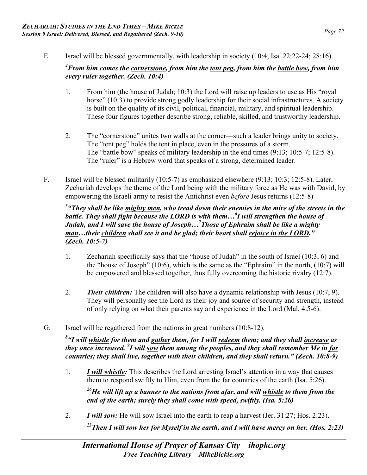E. Israel will be blessed governmentally, with leadership in society (10:4; Isa. 22:22-24; 28:16).

#### *4 From him comes the cornerstone, from him the tent peg, from him the battle bow, from him every ruler together. (Zech. 10:4)*

- 1. From him (the house of Judah; 10:3) the Lord will raise up leaders to use as His "royal horse" (10:3) to provide strong godly leadership for their social infrastructures. A society is built on the quality of its civil, political, financial, military, and spiritual leadership. These four figures together describe strong, reliable, skilled, and trustworthy leadership.
- 2. The "cornerstone" unites two walls at the corner—such a leader brings unity to society. The "tent peg" holds the tent in place, even in the pressures of a storm. The "battle bow" speaks of military leadership in the end times (9:13; 10:5-7; 12:5-8). The "ruler" is a Hebrew word that speaks of a strong, determined leader.
- F. Israel will be blessed militarily (10:5-7) as emphasized elsewhere (9:13; 10:3; 12:5-8). Later, Zechariah develops the theme of the Lord being with the military force as He was with David, by empowering the Israeli army to resist the Antichrist even *before* Jesus returns (12:5-8)

<sup>5</sup> "They shall be like <u>mighty men</u>, who tread down their enemies in the mire of the streets in the *battle. They shall fight because the LORD is with them…6 I will strengthen the house of Judah, and I will save the house of Joseph…<sup>7</sup> Those of Ephraim shall be like a mighty man…their children shall see it and be glad; their heart shall rejoice in the LORD." (Zech. 10:5-7)* 

- 1. Zechariah specifically says that the "house of Judah" in the south of Israel (10:3, 6) and the "house of Joseph" (10:6), which is the same as the "Ephraim" in the north, (10:7) will be empowered and blessed together, thus fully overcoming the historic rivalry (12:7).
- 2. *Their children:* The children will also have a dynamic relationship with Jesus (10:7, 9). They will personally see the Lord as their joy and source of security and strength, instead of only relying on what their parents say and experience in the Lord (Mal. 4:5-6).
- G. Israel will be regathered from the nations in great numbers (10:8-12).

*8 "I will whistle for them and gather them, for I will redeem them; and they shall increase as they once increased. 9 I will sow them among the peoples, and they shall remember Me in far countries; they shall live, together with their children, and they shall return." (Zech. 10:8-9)* 

1. *I will whistle:* This describes the Lord arresting Israel's attention in a way that causes them to respond swiftly to Him, even from the far countries of the earth (Isa. 5:26).

*26He will lift up a banner to the nations from afar, and will whistle to them from the end of the earth; surely they shall come with speed, swiftly. (Isa. 5:26)* 

2. *I will sow:* He will sow Israel into the earth to reap a harvest (Jer. 31:27; Hos. 2:23). *23Then I will sow her for Myself in the earth, and I will have mercy on her. (Hos. 2:23)*